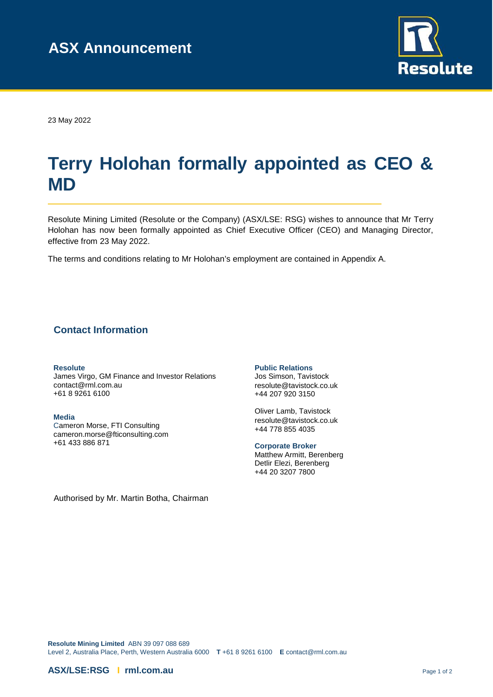

23 May 2022

# **Terry Holohan formally appointed as CEO & MD**

Resolute Mining Limited (Resolute or the Company) (ASX/LSE: RSG) wishes to announce that Mr Terry Holohan has now been formally appointed as Chief Executive Officer (CEO) and Managing Director, effective from 23 May 2022.

The terms and conditions relating to Mr Holohan's employment are contained in Appendix A.

### **Contact Information**

#### **Resolute**

James Virgo, GM Finance and Investor Relations [contact@rml.com.au](mailto:contact@rml.com.au) +61 8 9261 6100

**Media**  Cameron Morse, FTI Consulting [cameron.morse@fticonsulting.com](mailto:cameron.morse@fticonsulting.com) +61 433 886 871

**Public Relations** 

Jos Simson, Tavistock [resolute@tavistock.co.uk](mailto:resolute@tavistock.co.uk) +44 207 920 3150

Oliver Lamb, Tavistock [resolute@tavistock.co.uk](mailto:resolute@tavistock.co.uk) +44 778 855 4035

**Corporate Broker**  Matthew Armitt, Berenberg Detlir Elezi, Berenberg +44 20 3207 7800

Authorised by Mr. Martin Botha, Chairman